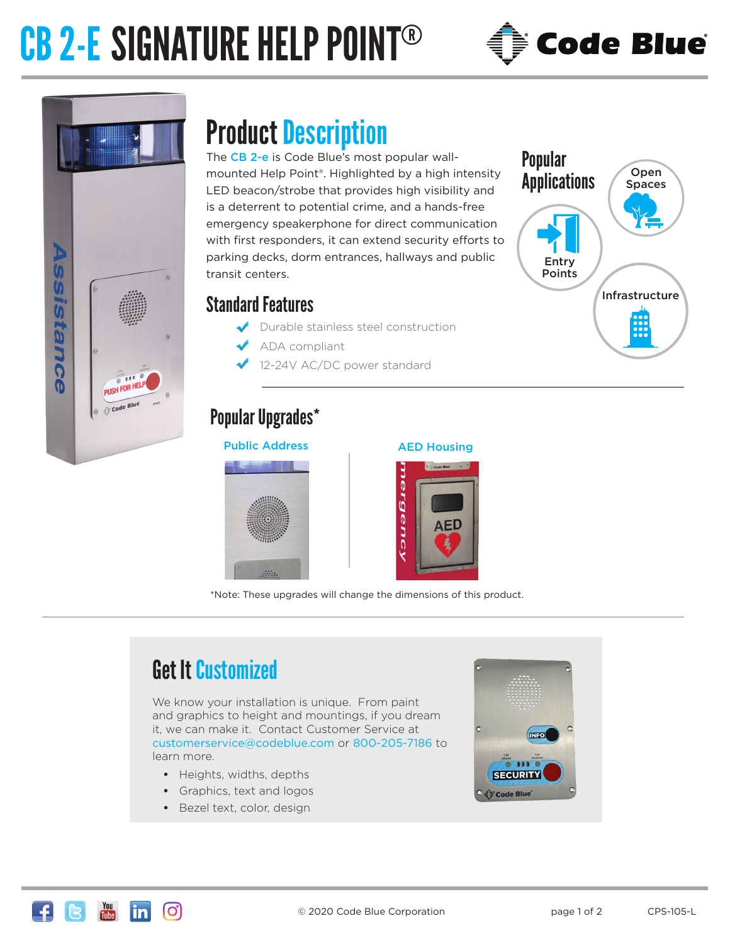# CB 2-E SIGNATURE HELP POINT®



Infrastructure

Open Spaces

Popular

**Applications** 

Entry Points



### Product Description

The CB 2-e is Code Blue's most popular wallmounted Help Point®. Highlighted by a high intensity LED beacon/strobe that provides high visibility and is a deterrent to potential crime, and a hands-free emergency speakerphone for direct communication with first responders, it can extend security efforts to parking decks, dorm entrances, hallways and public transit centers.

#### Standard Features

- Durable stainless steel construction
- ADA compliant
- 12-24V AC/DC power standard

### Popular Upgrades\*

#### Public Address AED Housing



|            | <b>O Code Blue</b><br>m           |  |
|------------|-----------------------------------|--|
| nerg<br>en | R<br><b>AED</b><br>$\overline{a}$ |  |

\*Note: These upgrades will change the dimensions of this product.

### Get It Customized

We know your installation is unique. From paint and graphics to height and mountings, if you dream it, we can make it. Contact Customer Service at customerservice@codeblue.com or 800-205-7186 to learn more.

- **•** Heights, widths, depths
- **•** Graphics, text and logos
- **•** Bezel text, color, design